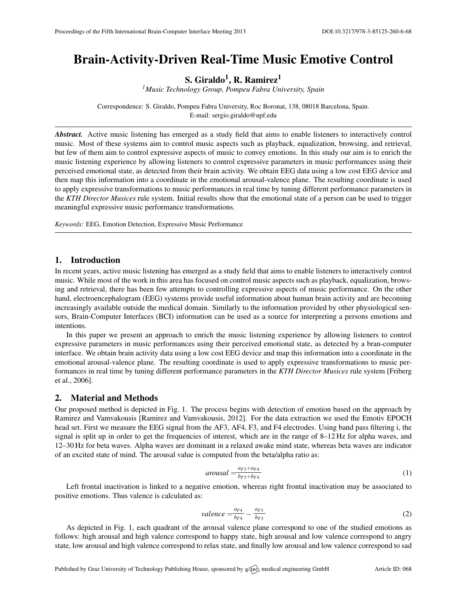# Brain-Activity-Driven Real-Time Music Emotive Control

S. Giraldo $^1$ , R. Ramirez $^1$ 

*<sup>1</sup>Music Technology Group, Pompeu Fabra University, Spain*

Correspondence: S. Giraldo, Pompeu Fabra University, Roc Boronat, 138, 08018 Barcelona, Spain. E-mail: [sergio.giraldo@upf.edu](mailto:sergio.giraldo@upf.edu)

*Abstract.* Active music listening has emerged as a study field that aims to enable listeners to interactively control music. Most of these systems aim to control music aspects such as playback, equalization, browsing, and retrieval, but few of them aim to control expressive aspects of music to convey emotions. In this study our aim is to enrich the music listening experience by allowing listeners to control expressive parameters in music performances using their perceived emotional state, as detected from their brain activity. We obtain EEG data using a low cost EEG device and then map this information into a coordinate in the emotional arousal-valence plane. The resulting coordinate is used to apply expressive transformations to music performances in real time by tuning different performance parameters in the *KTH Director Musices* rule system. Initial results show that the emotional state of a person can be used to trigger meaningful expressive music performance transformations.

*Keywords:* EEG, Emotion Detection, Expressive Music Performance

## 1. Introduction

In recent years, active music listening has emerged as a study field that aims to enable listeners to interactively control music. While most of the work in this area has focused on control music aspects such as playback, equalization, browsing and retrieval, there has been few attempts to controlling expressive aspects of music performance. On the other hand, electroencephalogram (EEG) systems provide useful information about human brain activity and are becoming increasingly available outside the medical domain. Similarly to the information provided by other physiological sensors, Brain-Computer Interfaces (BCI) information can be used as a source for interpreting a persons emotions and intentions.

In this paper we present an approach to enrich the music listening experience by allowing listeners to control expressive parameters in music performances using their perceived emotional state, as detected by a bran-computer interface. We obtain brain activity data using a low cost EEG device and map this information into a coordinate in the emotional arousal-valence plane. The resulting coordinate is used to apply expressive transformations to music performances in real time by tuning different performance parameters in the *KTH Director Musices* rule system [\[Friberg](#page-1-0) [et al.,](#page-1-0) [2006\]](#page-1-0).

# 2. Material and Methods

Our proposed method is depicted in Fig. 1. The process begins with detection of emotion based on the approach by Ramirez and Vamvakousis [\[Ramirez and Vamvakousis,](#page-1-1) [2012\]](#page-1-1). For the data extraction we used the Emotiv EPOCH head set. First we measure the EEG signal from the AF3, AF4, F3, and F4 electrodes. Using band pass filtering i, the signal is split up in order to get the frequencies of interest, which are in the range of 8-12 Hz for alpha waves, and 12–30 Hz for beta waves. Alpha waves are dominant in a relaxed awake mind state, whereas beta waves are indicator of an excited state of mind. The arousal value is computed from the beta/alpha ratio as:

$$
arousal = \frac{a_{F3} + a_{F4}}{b_{F3} + b_{F4}}\tag{1}
$$

Left frontal inactivation is linked to a negative emotion, whereas right frontal inactivation may be associated to positive emotions. Thus valence is calculated as:

$$
valence = \frac{a_{F4}}{b_{F4}} - \frac{a_{F3}}{b_{F3}}\tag{2}
$$

As depicted in Fig. 1, each quadrant of the arousal valence plane correspond to one of the studied emotions as follows: high arousal and high valence correspond to happy state, high arousal and low valence correspond to angry state, low arousal and high valence correspond to relax state, and finally low arousal and low valence correspond to sad